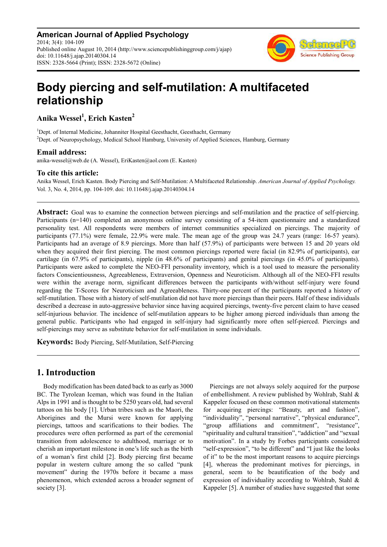**American Journal of Applied Psychology** 2014; 3(4): 104-109 Published online August 10, 2014 (http://www.sciencepublishinggroup.com/j/ajap) doi: 10.11648/j.ajap.20140304.14 ISSN: 2328-5664 (Print); ISSN: 2328-5672 (Online)



# **Body piercing and self-mutilation: A multifaceted relationship**

# **Anika Wessel<sup>1</sup> , Erich Kasten<sup>2</sup>**

<sup>1</sup>Dept. of Internal Medicine, Johanniter Hospital Geesthacht, Geesthacht, Germany <sup>2</sup>Dept. of Neuropsychology, Medical School Hamburg, University of Applied Sciences, Hamburg, Germany

## **Email address:**

anika-wessel@web.de (A. Wessel), EriKasten@aol.com (E. Kasten)

## **To cite this article:**

Anika Wessel, Erich Kasten. Body Piercing and Self-Mutilation: A Multifaceted Relationship. *American Journal of Applied Psychology.*  Vol. 3, No. 4, 2014, pp. 104-109. doi: 10.11648/j.ajap.20140304.14

**Abstract:** Goal was to examine the connection between piercings and self-mutilation and the practice of self-piercing. Participants (n=140) completed an anonymous online survey consisting of a 54-item questionnaire and a standardized personality test. All respondents were members of internet communities specialized on piercings. The majority of participants (77.1%) were female, 22.9% were male. The mean age of the group was 24.7 years (range: 16-57 years). Participants had an average of 8.9 piercings. More than half (57.9%) of participants were between 15 and 20 years old when they acquired their first piercing. The most common piercings reported were facial (in 82.9% of participants), ear cartilage (in 67.9% of participants), nipple (in 48.6% of participants) and genital piercings (in 45.0% of participants). Participants were asked to complete the NEO-FFI personality inventory, which is a tool used to measure the personality factors Conscientiousness, Agreeableness, Extraversion, Openness and Neuroticism. Although all of the NEO-FFI results were within the average norm, significant differences between the participants with/without self-injury were found regarding the T-Scores for Neuroticism and Agreeableness. Thirty-one percent of the participants reported a history of self-mutilation. Those with a history of self-mutilation did not have more piercings than their peers. Half of these individuals described a decrease in auto-aggressive behavior since having acquired piercings, twenty-five percent claim to have ceased self-injurious behavior. The incidence of self-mutilation appears to be higher among pierced individuals than among the general public. Participants who had engaged in self-injury had significantly more often self-pierced. Piercings and self-piercings may serve as substitute behavior for self-mutilation in some individuals.

**Keywords:** Body Piercing, Self-Mutilation, Self-Piercing

# **1. Introduction**

Body modification has been dated back to as early as 3000 BC. The Tyrolean Iceman, which was found in the Italian Alps in 1991 and is thought to be 5250 years old, had several tattoos on his body [1]. Urban tribes such as the Maori, the Aborigines and the Mursi were known for applying piercings, tattoos and scarifications to their bodies. The procedures were often performed as part of the ceremonial transition from adolescence to adulthood, marriage or to cherish an important milestone in one's life such as the birth of a woman's first child [2]. Body piercing first became popular in western culture among the so called "punk movement" during the 1970s before it became a mass phenomenon, which extended across a broader segment of society [3].

Piercings are not always solely acquired for the purpose of embellishment. A review published by Wohlrab, Stahl & Kappeler focused on these common motivational statements for acquiring piercings: "Beauty, art and fashion", "individuality", "personal narrative", "physical endurance", "group affiliations and commitment", "resistance", "spirituality and cultural transition", "addiction" and "sexual motivation". In a study by Forbes participants considered "self-expression", "to be different" and "I just like the looks of it" to be the most important reasons to acquire piercings [4], whereas the predominant motives for piercings, in general, seem to be beautification of the body and expression of individuality according to Wohlrab, Stahl & Kappeler [5]. A number of studies have suggested that some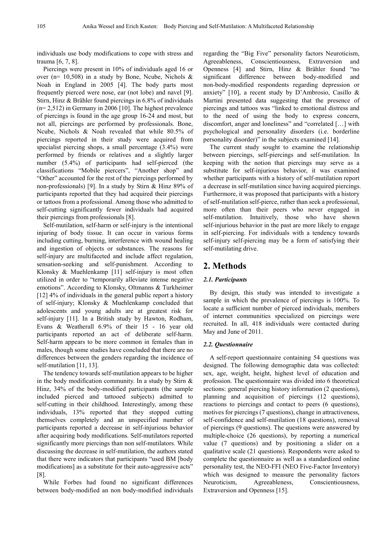individuals use body modifications to cope with stress and trauma [6, 7, 8].

Piercings were present in 10% of individuals aged 16 or over ( $n= 10,508$ ) in a study by Bone, Ncube, Nichols & Noah in England in 2005 [4]. The body parts most frequently pierced were nose, ear (not lobe) and navel [9]. Stirn, Hinz & Brähler found piercings in 6.8% of individuals (n= 2,512) in Germany in 2006 [10]. The highest prevalence of piercings is found in the age group 16-24 and most, but not all, piercings are performed by professionals. Bone, Ncube, Nichols & Noah revealed that while 80.5% of piercings reported in their study were acquired from specialist piercing shops, a small percentage (3.4%) were performed by friends or relatives and a slightly larger number (5.4%) of participants had self-pierced (the classifications "Mobile piercers", "Another shop" and "Other" accounted for the rest of the piercings performed by non-professionals) [9]. In a study by Stirn & Hinz 89% of participants reported that they had acquired their piercings or tattoos from a professional. Among those who admitted to self-cutting significantly fewer individuals had acquired their piercings from professionals [8].

Self-mutilation, self-harm or self-injury is the intentional injuring of body tissue. It can occur in various forms including cutting, burning, interference with wound healing and ingestion of objects or substances. The reasons for self-injury are multifaceted and include affect regulation, sensation-seeking and self-punishment. According to Klonsky & Muehlenkamp [11] self-injury is most often utilized in order to "temporarily alleviate intense negative emotions". According to Klonsky, Oltmanns & Turkheimer [12] 4% of individuals in the general public report a history of self-injury; Klonsky & Muehlenkamp concluded that adolescents and young adults are at greatest risk for self-injury [11]. In a British study by Hawton, Rodham, Evans & Weatherall 6.9% of their 15 - 16 year old participants reported an act of deliberate self-harm. Self-harm appears to be more common in females than in males, though some studies have concluded that there are no differences between the genders regarding the incidence of self-mutilation [11, 13].

The tendency towards self-mutilation appears to be higher in the body modification community. In a study by Stirn  $\&$ Hinz, 34% of the body-modified participants (the sample included pierced and tattooed subjects) admitted to self-cutting in their childhood. Interestingly, among these individuals, 13% reported that they stopped cutting themselves completely and an unspecified number of participants reported a decrease in self-injurious behavior after acquiring body modifications. Self-mutilators reported significantly more piercings than non self-mutilators. While discussing the decrease in self-mutilation, the authors stated that there were indicators that participants "used BM [body modifications] as a substitute for their auto-aggressive acts" [8].

While Forbes had found no significant differences between body-modified an non body-modified individuals regarding the "Big Five" personality factors Neuroticism, Agreeableness, Conscientiousness, Extraversion and Openness [4] and Stirn, Hinz & Brähler found "no significant difference between body-modified and non-body-modified respondents regarding depression or anxiety" [10], a recent study by D'Ambrosio, Casillo & Martini presented data suggesting that the presence of piercings and tattoos was "linked to emotional distress and to the need of using the body to express concern, discomfort, anger and loneliness" and "correlated […] with psychological and personality disorders (i.e. borderline personality disorder)" in the subjects examined [14].

The current study sought to examine the relationship between piercings, self-piercings and self-mutilation. In keeping with the notion that piercings may serve as a substitute for self-injurious behavior, it was examined whether participants with a history of self-mutilation report a decrease in self-mutilation since having acquired piercings. Furthermore, it was proposed that participants with a history of self-mutilation self-pierce, rather than seek a professional, more often than their peers who never engaged in self-mutilation. Intuitively, those who have shown self-injurious behavior in the past are more likely to engage in self-piercing. For individuals with a tendency towards self-injury self-piercing may be a form of satisfying their self-mutilating drive.

## **2. Methods**

#### *2.1. Participants*

By design, this study was intended to investigate a sample in which the prevalence of piercings is 100%. To locate a sufficient number of pierced individuals, members of internet communities specialized on piercings were recruited. In all, 418 individuals were contacted during May and June of 2011.

### *2.2. Questionnaire*

A self-report questionnaire containing 54 questions was designed. The following demographic data was collected: sex, age, weight, height, highest level of education and profession. The questionnaire was divided into 6 theoretical sections: general piercing history information (2 questions), planning and acquisition of piercings (12 questions), reactions to piercings and contact to peers (6 questions), motives for piercings (7 questions), change in attractiveness, self-confidence and self-mutilation (18 questions), removal of piercings (9 questions). The questions were answered by multiple-choice (26 questions), by reporting a numerical value (7 questions) and by positioning a slider on a qualitative scale (21 questions). Respondents were asked to complete the questionnaire as well as a standardized online personality test, the NEO-FFI (NEO Five-Factor Inventory) which was designed to measure the personality factors Neuroticism, Agreeableness, Conscientiousness, Extraversion and Openness [15].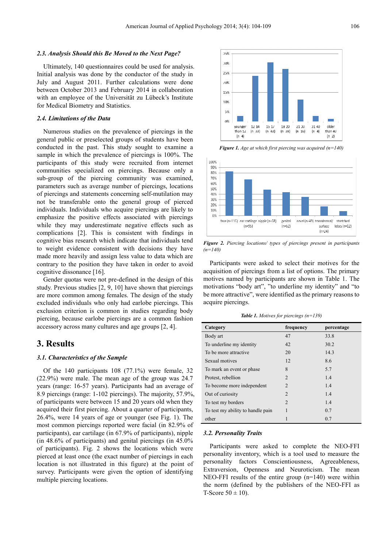#### *2.3. Analysis Should this Be Moved to the Next Page?*

Ultimately, 140 questionnaires could be used for analysis. Initial analysis was done by the conductor of the study in July and August 2011. Further calculations were done between October 2013 and February 2014 in collaboration with an employee of the Universität zu Lübeck's Institute for Medical Biometry and Statistics.

#### *2.4. Limitations of the Data*

Numerous studies on the prevalence of piercings in the general public or preselected groups of students have been conducted in the past. This study sought to examine a sample in which the prevalence of piercings is 100%. The participants of this study were recruited from internet communities specialized on piercings. Because only a sub-group of the piercing community was examined, parameters such as average number of piercings, locations of piercings and statements concerning self-mutilation may not be transferable onto the general group of pierced individuals. Individuals who acquire piercings are likely to emphasize the positive effects associated with piercings while they may underestimate negative effects such as complications [2]. This is consistent with findings in cognitive bias research which indicate that individuals tend to weight evidence consistent with decisions they have made more heavily and assign less value to data which are contrary to the position they have taken in order to avoid cognitive dissonance [16].

Gender quotas were not pre-defined in the design of this study. Previous studies [2, 9, 10] have shown that piercings are more common among females. The design of the study excluded individuals who only had earlobe piercings. This exclusion criterion is common in studies regarding body piercing, because earlobe piercings are a common fashion accessory across many cultures and age groups [2, 4].

## **3. Results**

#### *3.1. Characteristics of the Sample*

Of the 140 participants 108 (77.1%) were female, 32 (22.9%) were male. The mean age of the group was 24.7 years (range: 16-57 years). Participants had an average of 8.9 piercings (range: 1-102 piercings). The majority, 57.9%, of participants were between 15 and 20 years old when they acquired their first piercing. About a quarter of participants, 26.4%, were 14 years of age or younger (see Fig. 1). The most common piercings reported were facial (in 82.9% of participants), ear cartilage (in 67.9% of participants), nipple (in 48.6% of participants) and genital piercings (in 45.0% of participants). Fig. 2 shows the locations which were pierced at least once (the exact number of piercings in each location is not illustrated in this figure) at the point of survey. Participants were given the option of identifying multiple piercing locations.



*Figure 1. Age at which first piercing was acquired (n=140)* 



*Figure 2. Piercing locations/ types of piercings present in participants (n=140)* 

Participants were asked to select their motives for the acquisition of piercings from a list of options. The primary motives named by participants are shown in Table 1. The motivations "body art", "to underline my identity" and "to be more attractive", were identified as the primary reasons to acquire piercings.

*Table 1. Motives for piercings (n=139)* 

| Category                          | frequency      | percentage |
|-----------------------------------|----------------|------------|
| Body art                          | 47             | 33.8       |
| To underline my identity          | 42             | 30.2       |
| To be more attractive             | 20             | 14.3       |
| Sexual motives                    | 12             | 8.6        |
| To mark an event or phase         | 8              | 5.7        |
| Protest, rebellion                | $\overline{2}$ | 1.4        |
| To become more independent        | $\mathfrak{D}$ | 1.4        |
| Out of curiosity                  | $\mathfrak{D}$ | 1.4        |
| To test my borders                | 2              | 1.4        |
| To test my ability to handle pain | 1              | 0.7        |
| other                             |                | 0.7        |

#### *3.2. Personality Traits*

Participants were asked to complete the NEO-FFI personality inventory, which is a tool used to measure the personality factors Conscientiousness, Agreeableness, Extraversion, Openness and Neuroticism. The mean NEO-FFI results of the entire group (n=140) were within the norm (defined by the publishers of the NEO-FFI as T-Score  $50 \pm 10$ ).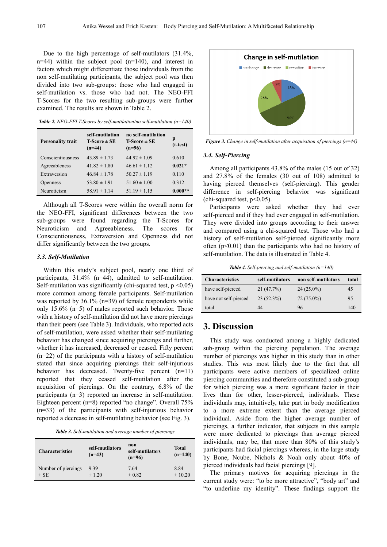Due to the high percentage of self-mutilators (31.4%,  $n=44$ ) within the subject pool  $(n=140)$ , and interest in factors which might differentiate those individuals from the non self-mutilating participants, the subject pool was then divided into two sub-groups: those who had engaged in self-mutilation vs. those who had not. The NEO-FFI T-Scores for the two resulting sub-groups were further examined. The results are shown in Table 2.

*Table 2. NEO-FFI T-Scores by self-mutilation/no self-mutilation (n=140)* 

| <b>Personality trait</b> | self-mutilation<br>$T-Score \pm SE$<br>$(n=44)$ | no self-mutilation<br>$T-Score \pm SE$<br>$(n=96)$ | p<br>$(t-test)$ |
|--------------------------|-------------------------------------------------|----------------------------------------------------|-----------------|
| Conscientiousness        | $43.89 \pm 1.73$                                | $44.92 \pm 1.09$                                   | 0.610           |
| Agreeableness            | $41.82 \pm 1.80$                                | $46.61 \pm 1.12$                                   | $0.021*$        |
| Extraversion             | $46.84 \pm 1.78$                                | $50.27 \pm 1.19$                                   | 0.110           |
| Openness                 | $53.80 \pm 1.91$                                | $51.60 \pm 1.00$                                   | 0.312           |
| Neuroticism              | $58.91 \pm 1.14$                                | $51.19 \pm 1.15$                                   | $0.000**$       |

Although all T-Scores were within the overall norm for the NEO-FFI, significant differences between the two sub-groups were found regarding the T-Scores for Neuroticism and Agreeableness. The scores for Conscientiousness, Extraversion and Openness did not differ significantly between the two groups.

#### *3.3. Self-Mutilation*

Within this study's subject pool, nearly one third of participants, 31.4% (n=44), admitted to self-mutilation. Self-mutilation was significantly (chi-squared test,  $p \le 0.05$ ) more common among female participants. Self-mutilation was reported by 36.1% (n=39) of female respondents while only 15.6% (n=5) of males reported such behavior. Those with a history of self-mutilation did not have more piercings than their peers (see Table 3). Individuals, who reported acts of self-mutilation, were asked whether their self-mutilating behavior has changed since acquiring piercings and further, whether it has increased, decreased or ceased. Fifty percent (n=22) of the participants with a history of self-mutilation stated that since acquiring piercings their self-injurious behavior has decreased. Twenty-five percent (n=11) reported that they ceased self-mutilation after the acquisition of piercings. On the contrary, 6.8% of the participants (n=3) reported an increase in self-mutilation. Eighteen percent (n=8) reported "no change". Overall 75% (n=33) of the participants with self-injurious behavior reported a decrease in self-mutilating behavior (see Fig. 3).

| Table 3. Self-mutilation and average number of piercings |  |  |
|----------------------------------------------------------|--|--|
|                                                          |  |  |

| <b>Characteristics</b> | self-mutilators<br>$(n=43)$ | non<br>self-mutilators<br>$(n=96)$ | Total<br>$(n=140)$ |
|------------------------|-----------------------------|------------------------------------|--------------------|
| Number of piercings    | 939                         | 7.64                               | 8.84               |
| $\pm$ SE               | $\pm$ 1.20                  | $\pm 0.82$                         | $\pm 10.20$        |



*Figure 3. Change in self-mutilation after acquisition of piercings (n=44)* 

#### *3.4. Self-Piercing*

Among all participants 43.8% of the males (15 out of 32) and 27.8% of the females (30 out of 108) admitted to having pierced themselves (self-piercing). This gender difference in self-piercing behavior was significant (chi-squared test,  $p<0.05$ ).

Participants were asked whether they had ever self-pierced and if they had ever engaged in self-mutilation. They were divided into groups according to their answer and compared using a chi-squared test. Those who had a history of self-mutilation self-pierced significantly more often  $(p<0.01)$  than the participants who had no history of self-mutilation. The data is illustrated in Table 4.

*Table 4. Self-piercing and self-mutilation (n=140)* 

| <b>Characteristics</b> | self-mutilators | non self-mutilators | total |
|------------------------|-----------------|---------------------|-------|
| have self-pierced      | 21(47.7%)       | $24(25.0\%)$        | 45    |
| have not self-pierced  | $23(52.3\%)$    | $72(75.0\%)$        | 95    |
| total                  | 44              | 96                  | 140   |

## **3. Discussion**

This study was conducted among a highly dedicated sub-group within the piercing population. The average number of piercings was higher in this study than in other studies. This was most likely due to the fact that all participants were active members of specialized online piercing communities and therefore constituted a sub-group for which piercing was a more significant factor in their lives than for other, lesser-pierced, individuals. These individuals may, intuitively, take part in body modification to a more extreme extent than the average pierced individual. Aside from the higher average number of piercings, a further indicator, that subjects in this sample were more dedicated to piercings than average pierced individuals, may be, that more than 80% of this study's participants had facial piercings whereas, in the large study by Bone, Ncube, Nichols & Noah only about 40% of pierced individuals had facial piercings [9].

The primary motives for acquiring piercings in the current study were: "to be more attractive", "body art" and "to underline my identity". These findings support the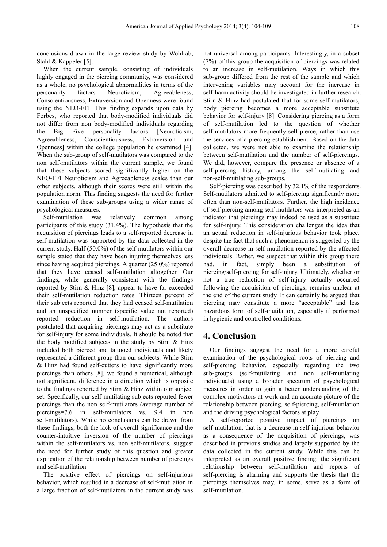conclusions drawn in the large review study by Wohlrab, Stahl & Kappeler [5].

When the current sample, consisting of individuals highly engaged in the piercing community, was considered as a whole, no psychological abnormalities in terms of the personality factors Neuroticism, Agreeableness, Conscientiousness, Extraversion and Openness were found using the NEO-FFI. This finding expands upon data by Forbes, who reported that body-modified individuals did not differ from non body-modified individuals regarding the Big Five personality factors [Neuroticism, Agreeableness, Conscientiousness, Extraversion and Openness] within the college population he examined [4]. When the sub-group of self-mutilators was compared to the non self-mutilators within the current sample, we found that these subjects scored significantly higher on the NEO-FFI Neuroticism and Agreeableness scales than our other subjects, although their scores were still within the population norm. This finding suggests the need for further examination of these sub-groups using a wider range of psychological measures.

Self-mutilation was relatively common among participants of this study (31.4%). The hypothesis that the acquisition of piercings leads to a self-reported decrease in self-mutilation was supported by the data collected in the current study. Half (50.0%) of the self-mutilators within our sample stated that they have been injuring themselves less since having acquired piercings. A quarter (25.0%) reported that they have ceased self-mutilation altogether. Our findings, while generally consistent with the findings reported by Stirn & Hinz [8], appear to have far exceeded their self-mutilation reduction rates. Thirteen percent of their subjects reported that they had ceased self-mutilation and an unspecified number (specific value not reported) reported reduction in self-mutilation. The authors postulated that acquiring piercings may act as a substitute for self-injury for some individuals. It should be noted that the body modified subjects in the study by Stirn & Hinz included both pierced and tattooed individuals and likely represented a different group than our subjects. While Stirn & Hinz had found self-cutters to have significantly more piercings than others [8], we found a numerical, although not significant, difference in a direction which is opposite to the findings reported by Stirn & Hinz within our subject set. Specifically, our self-mutilating subjects reported fewer piercings than the non self-mutilators (average number of piercings=7.6 in self-mutilators vs. 9.4 in non self-mutilators). While no conclusions can be drawn from these findings, both the lack of overall significance and the counter-intuitive inversion of the number of piercings within the self-mutilators vs. non self-mutilators, suggest the need for further study of this question and greater explication of the relationship between number of piercings and self-mutilation.

The positive effect of piercings on self-injurious behavior, which resulted in a decrease of self-mutilation in a large fraction of self-mutilators in the current study was not universal among participants. Interestingly, in a subset (7%) of this group the acquisition of piercings was related to an increase in self-mutilation. Ways in which this sub-group differed from the rest of the sample and which intervening variables may account for the increase in self-harm activity should be investigated in further research. Stirn & Hinz had postulated that for some self-mutilators, body piercing becomes a more acceptable substitute behavior for self-injury [8]. Considering piercing as a form of self-mutilation led to the question of whether self-mutilators more frequently self-pierce, rather than use the services of a piercing establishment. Based on the data collected, we were not able to examine the relationship between self-mutilation and the number of self-piercings. We did, however, compare the presence or absence of a self-piercing history, among the self-mutilating and non-self-mutilating sub-groups.

Self-piercing was described by 32.1% of the respondents. Self-mutilators admitted to self-piercing significantly more often than non-self-mutilators. Further, the high incidence of self-piercing among self-mutilators was interpreted as an indicator that piercings may indeed be used as a substitute for self-injury. This consideration challenges the idea that an actual reduction in self-injurious behavior took place, despite the fact that such a phenomenon is suggested by the overall decrease in self-mutilation reported by the affected individuals. Rather, we suspect that within this group there had, in fact, simply been a substitution of piercing/self-piercing for self-injury. Ultimately, whether or not a true reduction of self-injury actually occurred following the acquisition of piercings, remains unclear at the end of the current study. It can certainly be argued that piercing may constitute a more "acceptable" and less hazardous form of self-mutilation, especially if performed in hygienic and controlled conditions.

## **4. Conclusion**

Our findings suggest the need for a more careful examination of the psychological roots of piercing and self-piercing behavior, especially regarding the two sub-groups (self-mutilating and non self-mutilating individuals) using a broader spectrum of psychological measures in order to gain a better understanding of the complex motivators at work and an accurate picture of the relationship between piercing, self-piercing, self-mutilation and the driving psychological factors at play.

A self-reported positive impact of piercings on self-mutilation, that is a decrease in self-injurious behavior as a consequence of the acquisition of piercings, was described in previous studies and largely supported by the data collected in the current study. While this can be interpreted as an overall positive finding, the significant relationship between self-mutilation and reports of self-piercing is alarming and supports the thesis that the piercings themselves may, in some, serve as a form of self-mutilation.